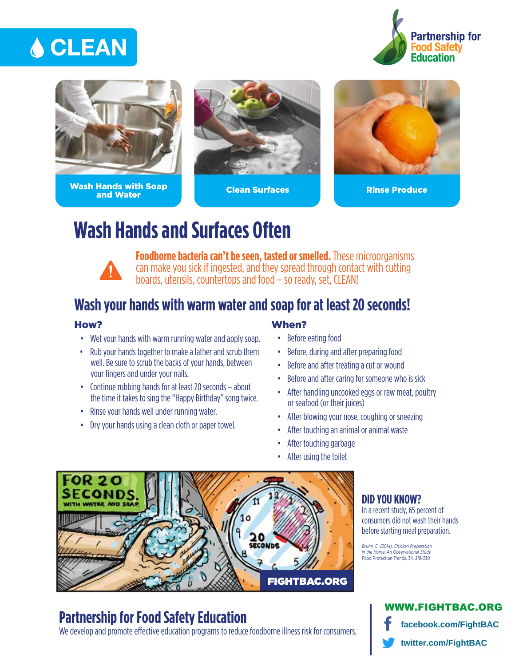# **A CLEAN**





Wash Hands with Soap and Water Clean Surfaces Rinse Produce





# **Wash Hands and Surfaces Often**



**Foodborne bacteria can't be seen, tasted or smelled.** These microorganisms can make you sick if ingested, and they spread through contact with cutting boards, utensils, countertops and food – so ready, set, CLEAN!

## **Wash your hands with warm water and soap for at least 20 seconds!**

### How?

- Wet your hands with warm running water and apply soap.
- Rub your hands together to make a lather and scrub them well. Be sure to scrub the backs of your hands, between your fingers and under your nails.
- Continue rubbing hands for at least 20 seconds about the time it takes to sing the "Happy Birthday" song twice.
- Rinse your hands well under running water.
- Dry your hands using a clean cloth or paper towel.

### When?

- Before eating food
- Before, during and after preparing food
- Before and after treating a cut or wound
- Before and after caring for someone who is sick
- After handling uncooked eggs or raw meat, poultry or seafood (or their juices)
- After blowing your nose, coughing or sneezing
- After touching an animal or animal waste
- After touching garbage
- After using the toilet



## **Partnership for Food Safety Education**

We develop and promote effective education programs to reduce foodborne illness risk for consumers.

## **DID YOU KNOW?**

In a recent study, 65 percent of consumers did not wash their hands before starting meal preparation.

*Bruhn, C. (2014). Chicken Preparation in the Home: An Observational Study.*  Food Protection Trends, 34, *318-330.*